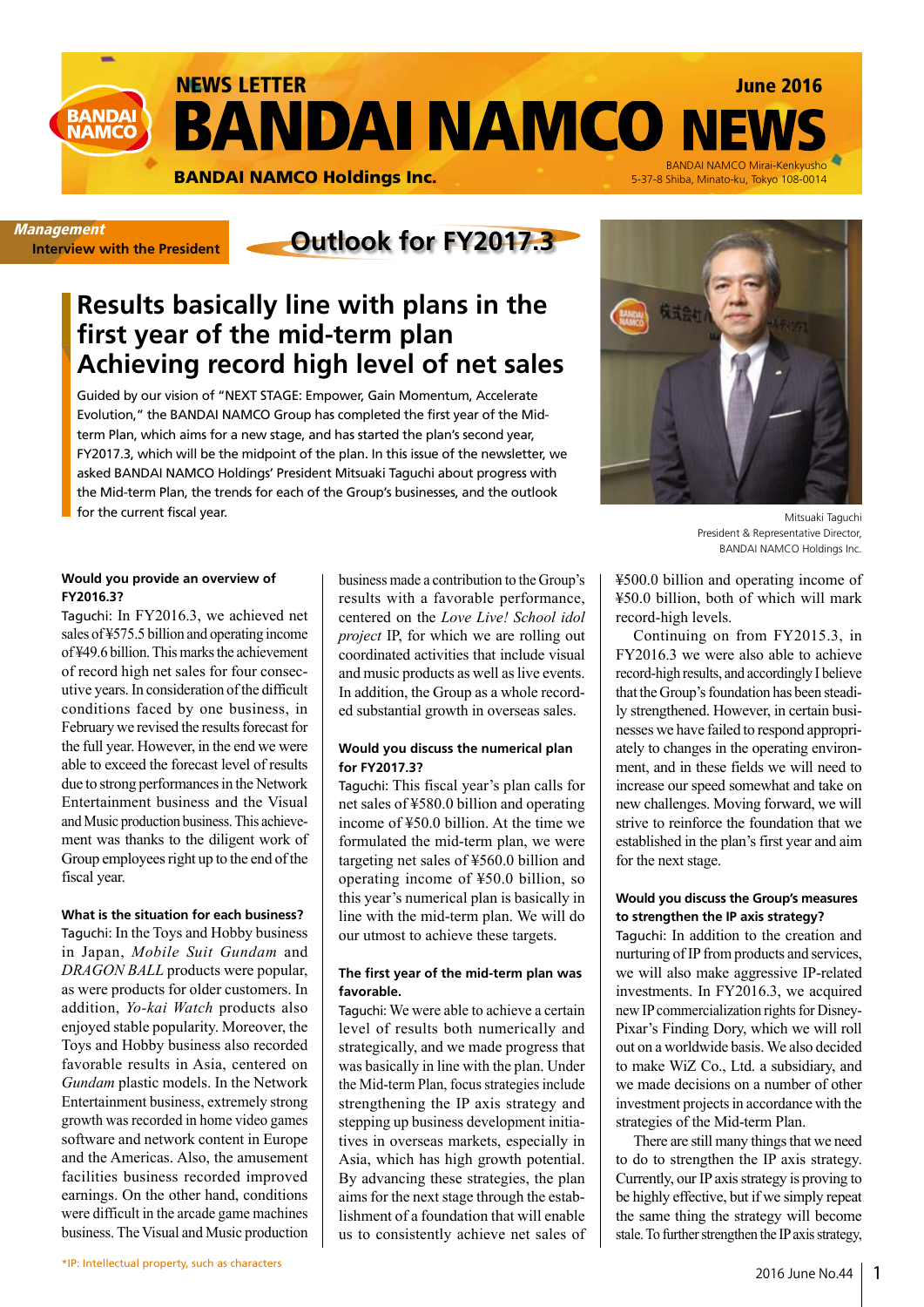NEWS LETTER June 2016 **BANDAI NAMCO NEW BANDA NAMC** BANDAI NAMCO Mirai-Kenkyusho<br>5-37-8 Shiba, Minato-ku, Tokyo 108-0014 **BANDAI NAMCO Holdings Inc.** 

**Interview with the President**

# **Outlook for FY2017.3** Management

## **Results basically line with plans in the first year of the mid-term plan Achieving record high level of net sales**

Guided by our vision of "NEXT STAGE: Empower, Gain Momentum, Accelerate Evolution," the BANDAI NAMCO Group has completed the first year of the Midterm Plan, which aims for a new stage, and has started the plan's second year, FY2017.3, which will be the midpoint of the plan. In this issue of the newsletter, we asked BANDAI NAMCO Holdings' President Mitsuaki Taguchi about progress with the Mid-term Plan, the trends for each of the Group's businesses, and the outlook for the current fiscal year.



Mitsuaki Taguchi President & Representative Director, BANDAI NAMCO Holdings Inc.

**Would you provide an overview of FY2016.3?**

Taguchi: In FY2016.3, we achieved net sales of ¥575.5 billion and operating income of ¥49.6 billion. This marks the achievement of record high net sales for four consecutive years. In consideration of the difficult conditions faced by one business, in February we revised the results forecast for the full year. However, in the end we were able to exceed the forecast level of results due to strong performances in the Network Entertainment business and the Visual and Music production business. This achievement was thanks to the diligent work of Group employees right up to the end of the fiscal year.

**What is the situation for each business?**  Taguchi: In the Toys and Hobby business in Japan, *Mobile Suit Gundam* and *DRAGON BALL* products were popular, as were products for older customers. In addition, *Yo-kai Watch* products also enjoyed stable popularity. Moreover, the Toys and Hobby business also recorded favorable results in Asia, centered on *Gundam* plastic models. In the Network Entertainment business, extremely strong growth was recorded in home video games software and network content in Europe and the Americas. Also, the amusement facilities business recorded improved earnings. On the other hand, conditions were difficult in the arcade game machines business. The Visual and Music production

business made a contribution to the Group's results with a favorable performance, centered on the *Love Live! School idol project* IP, for which we are rolling out coordinated activities that include visual and music products as well as live events. In addition, the Group as a whole recorded substantial growth in overseas sales.

#### **Would you discuss the numerical plan for FY2017.3?**

Taguchi: This fiscal year's plan calls for net sales of ¥580.0 billion and operating income of ¥50.0 billion. At the time we formulated the mid-term plan, we were targeting net sales of ¥560.0 billion and operating income of ¥50.0 billion, so this year's numerical plan is basically in line with the mid-term plan. We will do our utmost to achieve these targets.

#### **The first year of the mid-term plan was favorable.**

Taguchi: We were able to achieve a certain level of results both numerically and strategically, and we made progress that was basically in line with the plan. Under the Mid-term Plan, focus strategies include strengthening the IP axis strategy and stepping up business development initiatives in overseas markets, especially in Asia, which has high growth potential. By advancing these strategies, the plan aims for the next stage through the establishment of a foundation that will enable us to consistently achieve net sales of ¥500.0 billion and operating income of ¥50.0 billion, both of which will mark record-high levels.

Continuing on from FY2015.3, in FY2016.3 we were also able to achieve record-high results, and accordingly I believe that the Group's foundation has been steadily strengthened. However, in certain businesses we have failed to respond appropriately to changes in the operating environment, and in these fields we will need to increase our speed somewhat and take on new challenges. Moving forward, we will strive to reinforce the foundation that we established in the plan's first year and aim for the next stage.

#### **Would you discuss the Group's measures to strengthen the IP axis strategy?**

Taguchi: In addition to the creation and nurturing of IP from products and services, we will also make aggressive IP-related investments. In FY2016.3, we acquired new IP commercialization rights for Disney-Pixar's Finding Dory, which we will roll out on a worldwide basis. We also decided to make WiZ Co., Ltd. a subsidiary, and we made decisions on a number of other investment projects in accordance with the strategies of the Mid-term Plan.

There are still many things that we need to do to strengthen the IP axis strategy. Currently, our IP axis strategy is proving to be highly effective, but if we simply repeat the same thing the strategy will become stale. To further strengthen the IP axis strategy,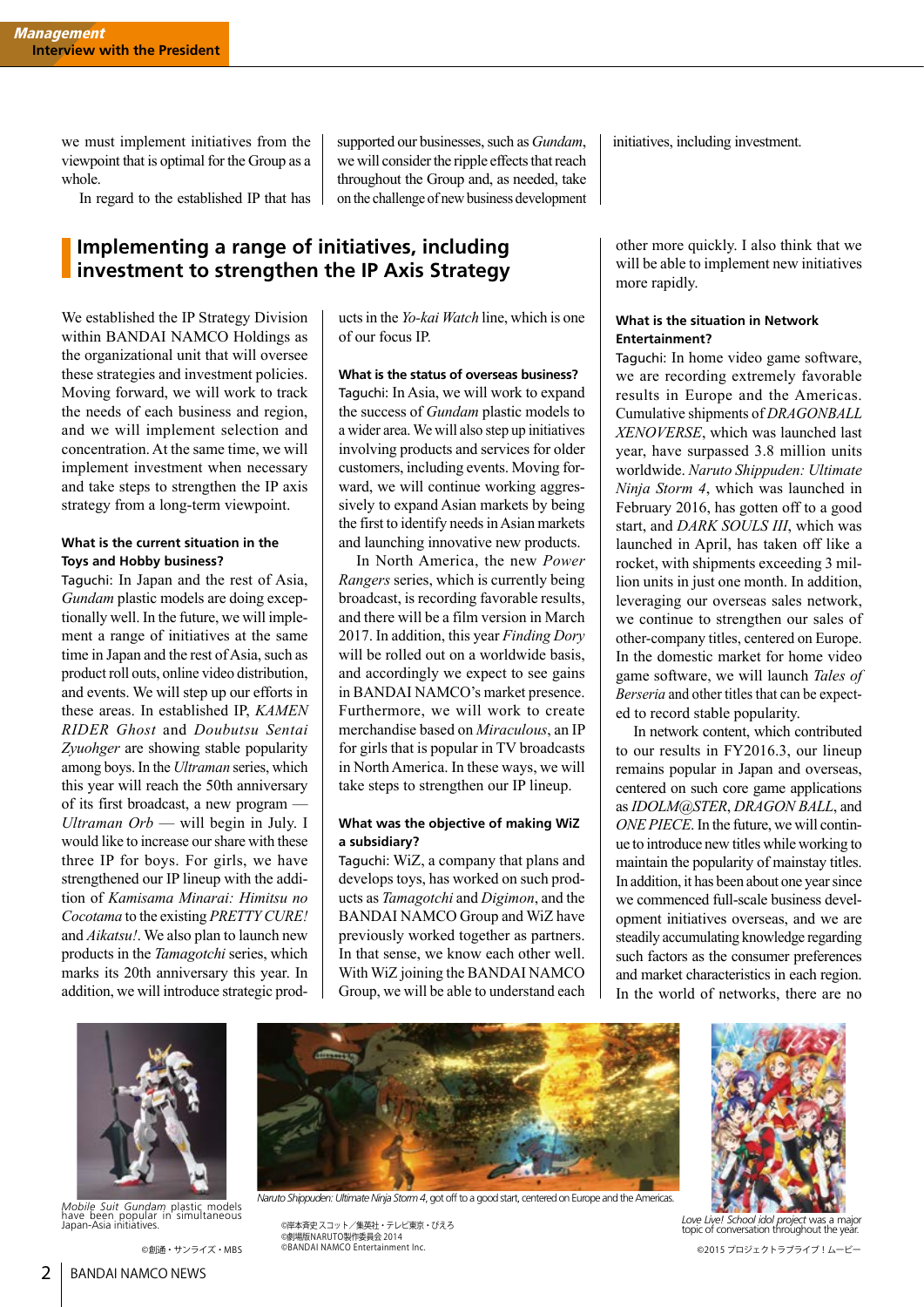we must implement initiatives from the viewpoint that is optimal for the Group as a whole.

In regard to the established IP that has

supported our businesses, such as *Gundam*, we will consider the ripple effects that reach throughout the Group and, as needed, take on the challenge of new business development

## **Implementing a range of initiatives, including investment to strengthen the IP Axis Strategy**

We established the IP Strategy Division within BANDAI NAMCO Holdings as the organizational unit that will oversee these strategies and investment policies. Moving forward, we will work to track the needs of each business and region, and we will implement selection and concentration. At the same time, we will implement investment when necessary and take steps to strengthen the IP axis strategy from a long-term viewpoint.

#### **What is the current situation in the Toys and Hobby business?**

Taguchi: In Japan and the rest of Asia, *Gundam* plastic models are doing exceptionally well. In the future, we will implement a range of initiatives at the same time in Japan and the rest of Asia, such as product roll outs, online video distribution, and events. We will step up our efforts in these areas. In established IP, *KAMEN RIDER Ghost* and *Doubutsu Sentai Zyuohger* are showing stable popularity among boys. In the *Ultraman* series, which this year will reach the 50th anniversary of its first broadcast, a new program — *Ultraman Orb* — will begin in July. I would like to increase our share with these three IP for boys. For girls, we have strengthened our IP lineup with the addition of *Kamisama Minarai: Himitsu no Cocotama* to the existing *PRETTY CURE!* and *Aikatsu!*. We also plan to launch new products in the *Tamagotchi* series, which marks its 20th anniversary this year. In addition, we will introduce strategic prod-

ucts in the *Yo-kai Watch* line, which is one of our focus IP.

**What is the status of overseas business?**  Taguchi: In Asia, we will work to expand the success of *Gundam* plastic models to a wider area. We will also step up initiatives involving products and services for older customers, including events. Moving forward, we will continue working aggressively to expand Asian markets by being

the first to identify needs in Asian markets

and launching innovative new products. In North America, the new *Power Rangers* series, which is currently being broadcast, is recording favorable results, and there will be a film version in March 2017. In addition, this year *Finding Dory* will be rolled out on a worldwide basis, and accordingly we expect to see gains in BANDAI NAMCO's market presence. Furthermore, we will work to create merchandise based on *Miraculous*, an IP for girls that is popular in TV broadcasts in North America. In these ways, we will take steps to strengthen our IP lineup.

#### **What was the objective of making WiZ a subsidiary?**

Taguchi: WiZ, a company that plans and develops toys, has worked on such products as *Tamagotchi* and *Digimon*, and the BANDAI NAMCO Group and WiZ have previously worked together as partners. In that sense, we know each other well. With WiZ joining the BANDAI NAMCO Group, we will be able to understand each

initiatives, including investment.

other more quickly. I also think that we will be able to implement new initiatives more rapidly.

#### **What is the situation in Network Entertainment?**

Taguchi: In home video game software, we are recording extremely favorable results in Europe and the Americas. Cumulative shipments of *DRAGONBALL XENOVERSE*, which was launched last year, have surpassed 3.8 million units worldwide. *Naruto Shippuden: Ultimate Ninja Storm 4*, which was launched in February 2016, has gotten off to a good start, and *DARK SOULS III*, which was launched in April, has taken off like a rocket, with shipments exceeding 3 million units in just one month. In addition, leveraging our overseas sales network, we continue to strengthen our sales of other-company titles, centered on Europe. In the domestic market for home video game software, we will launch *Tales of Berseria* and other titles that can be expected to record stable popularity.

In network content, which contributed to our results in FY2016.3, our lineup remains popular in Japan and overseas, centered on such core game applications as *IDOLM@STER*, *DRAGON BALL*, and *ONE PIECE*. In the future, we will continue to introduce new titles while working to maintain the popularity of mainstay titles. In addition, it has been about one year since we commenced full-scale business development initiatives overseas, and we are steadily accumulating knowledge regarding such factors as the consumer preferences and market characteristics in each region. In the world of networks, there are no



*Naruto Shippuden: Ultimate Ninja Storm 4*, got off to a good start, centered on Europe and the Americas. *Mobile Suit Gundam* plastic models have been popular in simultaneous Japan-Asia initiatives.



©岸本斉史 スコット/集英社・テレビ東京・ぴえろ ©劇場版NARUTO製作委員会 2014 ©BANDAI NAMCO Entertainment Inc.



*Love Live! School idol project* was a major topic of conversation throughout the year. ©創通・サンライズ・MBS <sup>©BANDAI NAMCO Entertainment Inc. しかしていることにはないから、このコンティブリュービーではないから、このコンテクトラブライブ!ムービー</sup>